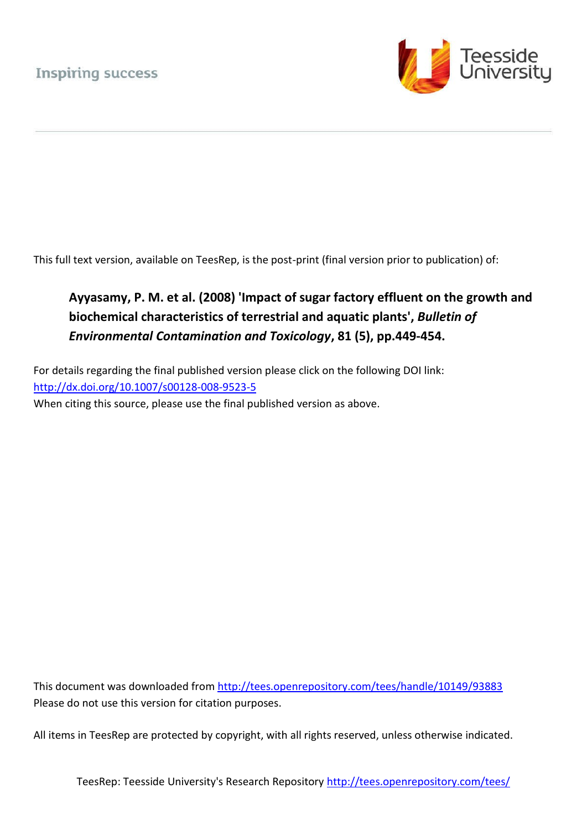

This full text version, available on TeesRep, is the post-print (final version prior to publication) of:

# **Ayyasamy, P. M. et al. (2008) 'Impact of sugar factory effluent on the growth and biochemical characteristics of terrestrial and aquatic plants',** *Bulletin of Environmental Contamination and Toxicology***, 81 (5), pp.449-454.**

For details regarding the final published version please click on the following DOI link: <http://dx.doi.org/10.1007/s00128-008-9523-5> When citing this source, please use the final published version as above.

This document was downloaded from<http://tees.openrepository.com/tees/handle/10149/93883> Please do not use this version for citation purposes.

All items in TeesRep are protected by copyright, with all rights reserved, unless otherwise indicated.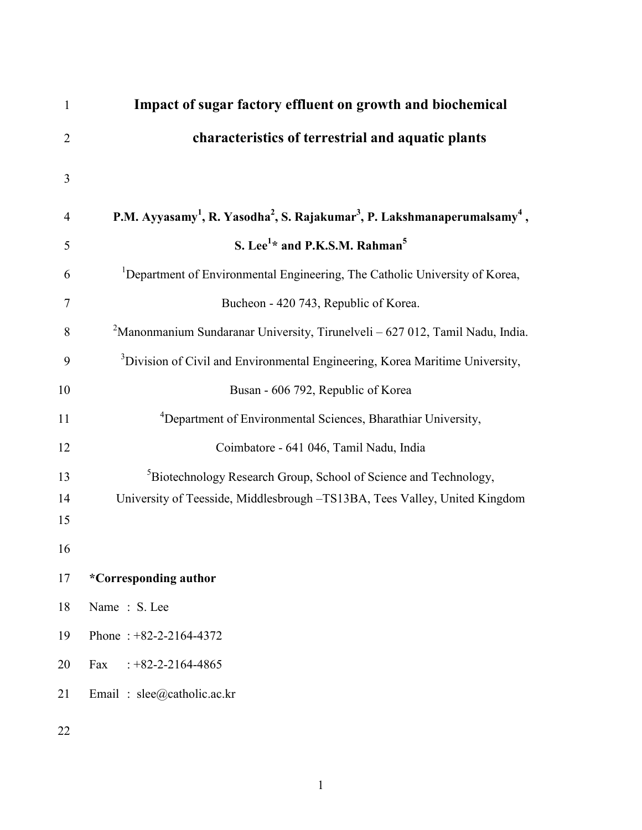| $\mathbf{1}$   | Impact of sugar factory effluent on growth and biochemical                                                                |
|----------------|---------------------------------------------------------------------------------------------------------------------------|
| $\overline{2}$ | characteristics of terrestrial and aquatic plants                                                                         |
| 3              |                                                                                                                           |
| $\overline{4}$ | P.M. Ayyasamy <sup>1</sup> , R. Yasodha <sup>2</sup> , S. Rajakumar <sup>3</sup> , P. Lakshmanaperumalsamy <sup>4</sup> , |
| 5              | S. Lee <sup>1*</sup> and P.K.S.M. Rahman <sup>5</sup>                                                                     |
| 6              | <sup>1</sup> Department of Environmental Engineering, The Catholic University of Korea,                                   |
| 7              | Bucheon - 420 743, Republic of Korea.                                                                                     |
| 8              | $2$ Manonmanium Sundaranar University, Tirunelveli – 627 012, Tamil Nadu, India.                                          |
| 9              | <sup>3</sup> Division of Civil and Environmental Engineering, Korea Maritime University,                                  |
| 10             | Busan - 606 792, Republic of Korea                                                                                        |
| 11             | <sup>4</sup> Department of Environmental Sciences, Bharathiar University,                                                 |
| 12             | Coimbatore - 641 046, Tamil Nadu, India                                                                                   |
| 13             | <sup>5</sup> Biotechnology Research Group, School of Science and Technology,                                              |
| 14             | University of Teesside, Middlesbrough -TS13BA, Tees Valley, United Kingdom                                                |
| 15             |                                                                                                                           |
| 16             |                                                                                                                           |
| 17             | *Corresponding author                                                                                                     |
| 18             | Name: S. Lee                                                                                                              |
| 19             | Phone: $+82-2-2164-4372$                                                                                                  |
| 20             | Fax<br>$: +82 - 2 - 2164 - 4865$                                                                                          |
| 21             | Email: slee@catholic.ac.kr                                                                                                |
| 22             |                                                                                                                           |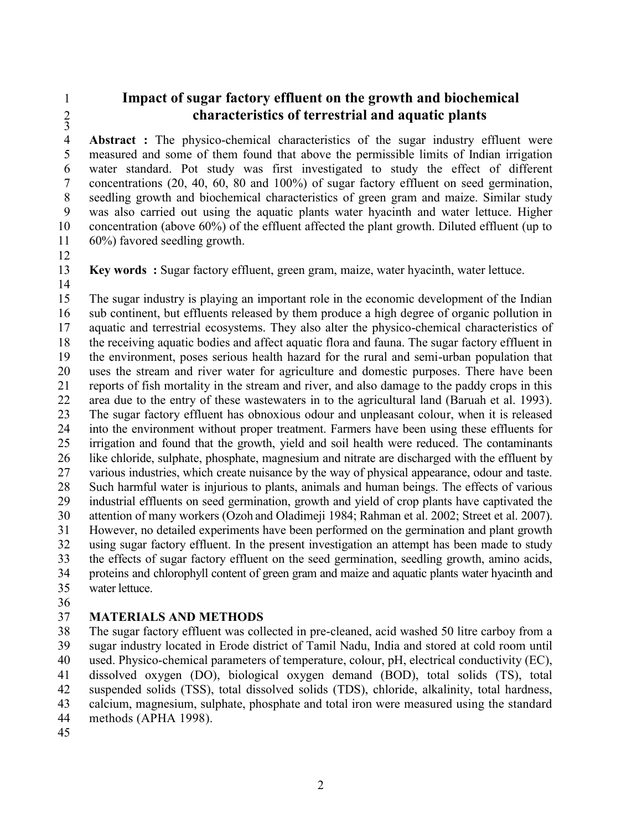## **Impact of sugar factory effluent on the growth and biochemical characteristics of terrestrial and aquatic plants**

 $\begin{array}{c} 2 \\ 3 \\ 4 \end{array}$  **Abstract :** The physico-chemical characteristics of the sugar industry effluent were measured and some of them found that above the permissible limits of Indian irrigation measured and some of them found that above the permissible limits of Indian irrigation water standard. Pot study was first investigated to study the effect of different 7 concentrations (20, 40, 60, 80 and 100%) of sugar factory effluent on seed germination,<br>8 seedling growth and biochemical characteristics of green gram and maize. Similar study seedling growth and biochemical characteristics of green gram and maize. Similar study was also carried out using the aquatic plants water hyacinth and water lettuce. Higher concentration (above 60%) of the effluent affected the plant growth. Diluted effluent (up to 60%) favored seedling growth.

**Key words :** Sugar factory effluent, green gram, maize, water hyacinth, water lettuce.

 The sugar industry is playing an important role in the economic development of the Indian sub continent, but effluents released by them produce a high degree of organic pollution in aquatic and terrestrial ecosystems. They also alter the physico-chemical characteristics of the receiving aquatic bodies and affect aquatic flora and fauna. The sugar factory effluent in the environment, poses serious health hazard for the rural and semi-urban population that uses the stream and river water for agriculture and domestic purposes. There have been reports of fish mortality in the stream and river, and also damage to the paddy crops in this area due to the entry of these wastewaters in to the agricultural land (Baruah et al. 1993). The sugar factory effluent has obnoxious odour and unpleasant colour, when it is released into the environment without proper treatment. Farmers have been using these effluents for irrigation and found that the growth, yield and soil health were reduced. The contaminants like chloride, sulphate, phosphate, magnesium and nitrate are discharged with the effluent by various industries, which create nuisance by the way of physical appearance, odour and taste. Such harmful water is injurious to plants, animals and human beings. The effects of various industrial effluents on seed germination, growth and yield of crop plants have captivated the attention of many workers (Ozoh and Oladimeji 1984; Rahman et al. 2002; Street et al. 2007). However, no detailed experiments have been performed on the germination and plant growth using sugar factory effluent. In the present investigation an attempt has been made to study the effects of sugar factory effluent on the seed germination, seedling growth, amino acids, proteins and chlorophyll content of green gram and maize and aquatic plants water hyacinth and water lettuce.

### **MATERIALS AND METHODS**

 The sugar factory effluent was collected in pre-cleaned, acid washed 50 litre carboy from a sugar industry located in Erode district of Tamil Nadu, India and stored at cold room until used. Physico-chemical parameters of temperature, colour, pH, electrical conductivity (EC), dissolved oxygen (DO), biological oxygen demand (BOD), total solids (TS), total suspended solids (TSS), total dissolved solids (TDS), chloride, alkalinity, total hardness, calcium, magnesium, sulphate, phosphate and total iron were measured using the standard methods (APHA 1998).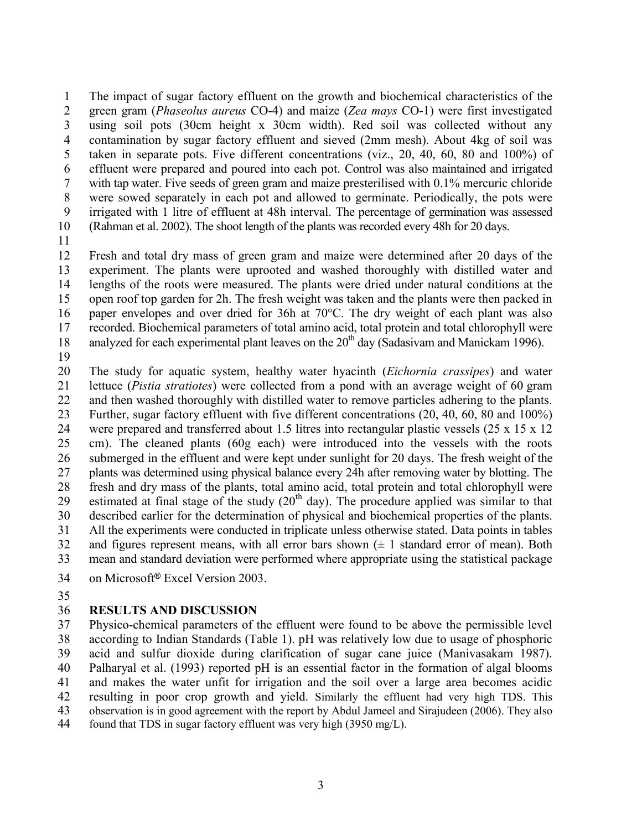The impact of sugar factory effluent on the growth and biochemical characteristics of the green gram (*Phaseolus aureus* CO-4) and maize (*Zea mays* CO-1) were first investigated using soil pots (30cm height x 30cm width). Red soil was collected without any contamination by sugar factory effluent and sieved (2mm mesh). About 4kg of soil was taken in separate pots. Five different concentrations (viz., 20, 40, 60, 80 and 100%) of effluent were prepared and poured into each pot. Control was also maintained and irrigated with tap water. Five seeds of green gram and maize presterilised with 0.1% mercuric chloride were sowed separately in each pot and allowed to germinate. Periodically, the pots were irrigated with 1 litre of effluent at 48h interval. The percentage of germination was assessed (Rahman et al. 2002). The shoot length of the plants was recorded every 48h for 20 days.

 Fresh and total dry mass of green gram and maize were determined after 20 days of the experiment. The plants were uprooted and washed thoroughly with distilled water and lengths of the roots were measured. The plants were dried under natural conditions at the open roof top garden for 2h. The fresh weight was taken and the plants were then packed in paper envelopes and over dried for 36h at 70°C. The dry weight of each plant was also recorded. Biochemical parameters of total amino acid, total protein and total chlorophyll were 18 analyzed for each experimental plant leaves on the  $20<sup>th</sup>$  day (Sadasivam and Manickam 1996).

 The study for aquatic system, healthy water hyacinth (*Eichornia crassipes*) and water lettuce (*Pistia stratiotes*) were collected from a pond with an average weight of 60 gram and then washed thoroughly with distilled water to remove particles adhering to the plants. Further, sugar factory effluent with five different concentrations (20, 40, 60, 80 and 100%) were prepared and transferred about 1.5 litres into rectangular plastic vessels (25 x 15 x 12 cm). The cleaned plants (60g each) were introduced into the vessels with the roots submerged in the effluent and were kept under sunlight for 20 days. The fresh weight of the plants was determined using physical balance every 24h after removing water by blotting. The fresh and dry mass of the plants, total amino acid, total protein and total chlorophyll were 29 estimated at final stage of the study  $(20<sup>th</sup>$  day). The procedure applied was similar to that described earlier for the determination of physical and biochemical properties of the plants. All the experiments were conducted in triplicate unless otherwise stated. Data points in tables 32 and figures represent means, with all error bars shown  $(\pm 1)$  standard error of mean). Both mean and standard deviation were performed where appropriate using the statistical package

- 34 on Microsoft<sup>®</sup> Excel Version 2003.
- 

#### **RESULTS AND DISCUSSION**

 Physico-chemical parameters of the effluent were found to be above the permissible level according to Indian Standards (Table 1). pH was relatively low due to usage of phosphoric acid and sulfur dioxide during clarification of sugar cane juice (Manivasakam 1987). Palharyal et al. (1993) reported pH is an essential factor in the formation of algal blooms and makes the water unfit for irrigation and the soil over a large area becomes acidic resulting in poor crop growth and yield. Similarly the effluent had very high TDS. This observation is in good agreement with the report by Abdul Jameel and Sirajudeen (2006). They also found that TDS in sugar factory effluent was very high (3950 mg/L).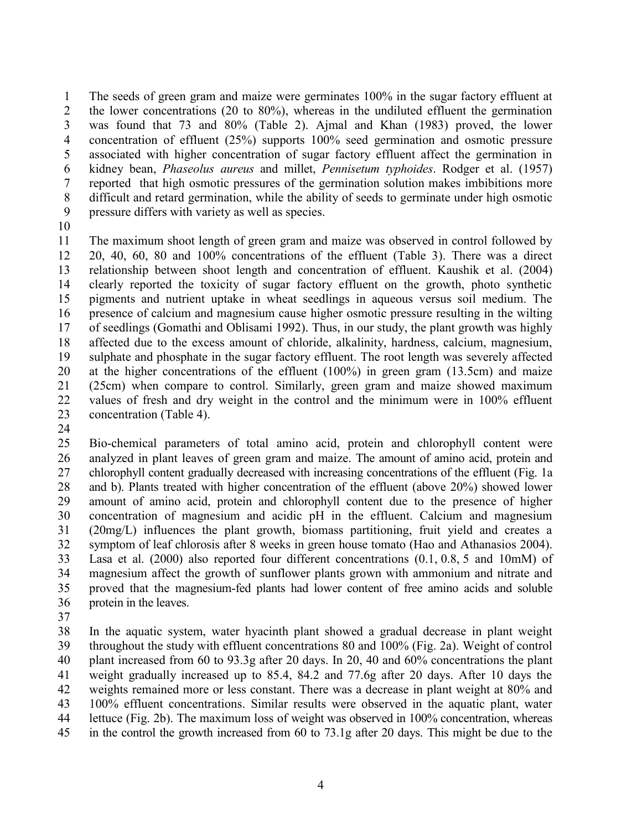The seeds of green gram and maize were germinates 100% in the sugar factory effluent at 2 the lower concentrations (20 to 80%), whereas in the undiluted effluent the germination was found that 73 and 80% (Table 2). Ajmal and Khan (1983) proved, the lower concentration of effluent (25%) supports 100% seed germination and osmotic pressure associated with higher concentration of sugar factory effluent affect the germination in kidney bean, *Phaseolus aureus* and millet, *Pennisetum typhoides*. Rodger et al. (1957) reported that high osmotic pressures of the germination solution makes imbibitions more difficult and retard germination, while the ability of seeds to germinate under high osmotic pressure differs with variety as well as species.

 The maximum shoot length of green gram and maize was observed in control followed by 20, 40, 60, 80 and 100% concentrations of the effluent (Table 3). There was a direct relationship between shoot length and concentration of effluent. Kaushik et al. (2004) clearly reported the toxicity of sugar factory effluent on the growth, photo synthetic pigments and nutrient uptake in wheat seedlings in aqueous versus soil medium. The presence of calcium and magnesium cause higher osmotic pressure resulting in the wilting of seedlings (Gomathi and Oblisami 1992). Thus, in our study, the plant growth was highly affected due to the excess amount of chloride, alkalinity, hardness, calcium, magnesium, sulphate and phosphate in the sugar factory effluent. The root length was severely affected at the higher concentrations of the effluent (100%) in green gram (13.5cm) and maize (25cm) when compare to control. Similarly, green gram and maize showed maximum values of fresh and dry weight in the control and the minimum were in 100% effluent concentration (Table 4).

 Bio-chemical parameters of total amino acid, protein and chlorophyll content were analyzed in plant leaves of green gram and maize. The amount of amino acid, protein and chlorophyll content gradually decreased with increasing concentrations of the effluent (Fig. 1a and b). Plants treated with higher concentration of the effluent (above 20%) showed lower amount of amino acid, protein and chlorophyll content due to the presence of higher concentration of magnesium and acidic pH in the effluent. Calcium and magnesium (20mg/L) influences the plant growth, biomass partitioning, fruit yield and creates a symptom of leaf chlorosis after 8 weeks in green house tomato (Hao and Athanasios 2004). Lasa et al. (2000) also reported four different concentrations (0.1, 0.8, 5 and 10mM) of magnesium affect the growth of sunflower plants grown with ammonium and nitrate and proved that the magnesium-fed plants had lower content of free amino acids and soluble protein in the leaves.

 In the aquatic system, water hyacinth plant showed a gradual decrease in plant weight throughout the study with effluent concentrations 80 and 100% (Fig. 2a). Weight of control plant increased from 60 to 93.3g after 20 days. In 20, 40 and 60% concentrations the plant weight gradually increased up to 85.4, 84.2 and 77.6g after 20 days. After 10 days the weights remained more or less constant. There was a decrease in plant weight at 80% and 100% effluent concentrations. Similar results were observed in the aquatic plant, water lettuce (Fig. 2b). The maximum loss of weight was observed in 100% concentration, whereas in the control the growth increased from 60 to 73.1g after 20 days. This might be due to the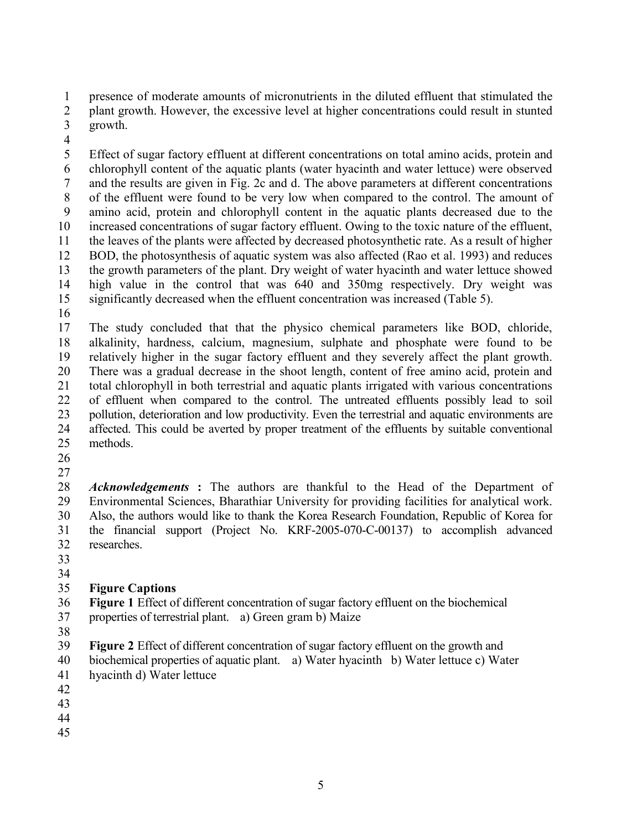presence of moderate amounts of micronutrients in the diluted effluent that stimulated the

2 plant growth. However, the excessive level at higher concentrations could result in stunted

- growth.
- 

 Effect of sugar factory effluent at different concentrations on total amino acids, protein and chlorophyll content of the aquatic plants (water hyacinth and water lettuce) were observed 7 and the results are given in Fig. 2c and d. The above parameters at different concentrations of the effluent were found to be very low when compared to the control. The amount of of the effluent were found to be very low when compared to the control. The amount of amino acid, protein and chlorophyll content in the aquatic plants decreased due to the increased concentrations of sugar factory effluent. Owing to the toxic nature of the effluent, the leaves of the plants were affected by decreased photosynthetic rate. As a result of higher BOD, the photosynthesis of aquatic system was also affected (Rao et al. 1993) and reduces the growth parameters of the plant. Dry weight of water hyacinth and water lettuce showed high value in the control that was 640 and 350mg respectively. Dry weight was significantly decreased when the effluent concentration was increased (Table 5).

 The study concluded that that the physico chemical parameters like BOD, chloride, alkalinity, hardness, calcium, magnesium, sulphate and phosphate were found to be relatively higher in the sugar factory effluent and they severely affect the plant growth. There was a gradual decrease in the shoot length, content of free amino acid, protein and total chlorophyll in both terrestrial and aquatic plants irrigated with various concentrations of effluent when compared to the control. The untreated effluents possibly lead to soil pollution, deterioration and low productivity. Even the terrestrial and aquatic environments are affected. This could be averted by proper treatment of the effluents by suitable conventional methods.

 *Acknowledgements* **:** The authors are thankful to the Head of the Department of Environmental Sciences, Bharathiar University for providing facilities for analytical work. Also, the authors would like to thank the Korea Research Foundation, Republic of Korea for the financial support (Project No. KRF-2005-070-C-00137) to accomplish advanced researches.

# 

### **Figure Captions**

**Figure 1** Effect of different concentration of sugar factory effluent on the biochemical

- properties of terrestrial plant. a) Green gram b) Maize
- 
- **Figure 2** Effect of different concentration of sugar factory effluent on the growth and
- biochemical properties of aquatic plant. a) Water hyacinth b) Water lettuce c) Water
- hyacinth d) Water lettuce
- 
- 
- 
-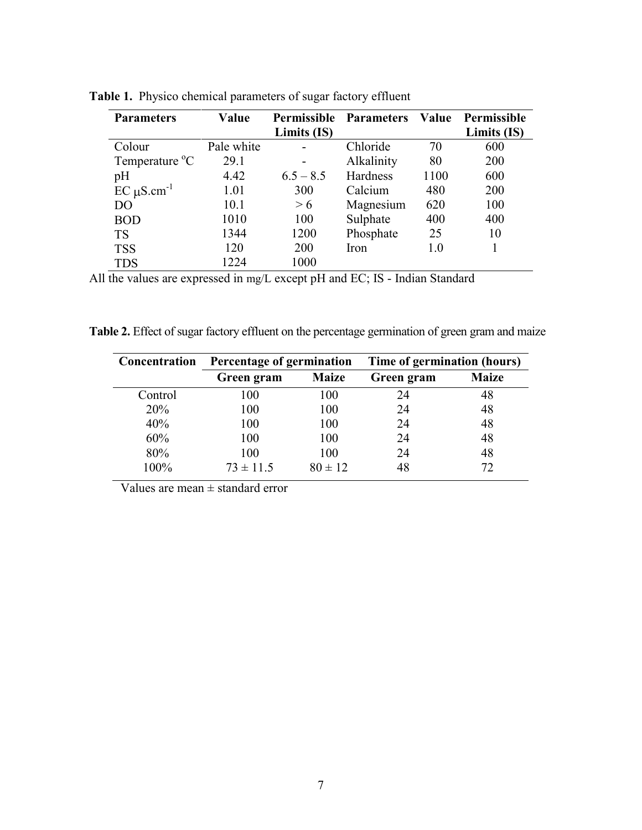| <b>Parameters</b>          | Value      | <b>Permissible</b> | <b>Parameters</b> |      | Value Permissible |
|----------------------------|------------|--------------------|-------------------|------|-------------------|
|                            |            | Limits (IS)        |                   |      | Limits (IS)       |
| Colour                     | Pale white |                    | Chloride          | 70   | 600               |
| Temperature <sup>o</sup> C | 29.1       |                    | Alkalinity        | 80   | 200               |
| pH                         | 4.42       | $6.5 - 8.5$        | Hardness          | 1100 | 600               |
| $EC \mu S.cm^{-1}$         | 1.01       | 300                | Calcium           | 480  | 200               |
| D <sub>O</sub>             | 10.1       | > 6                | Magnesium         | 620  | 100               |
| <b>BOD</b>                 | 1010       | 100                | Sulphate          | 400  | 400               |
| <b>TS</b>                  | 1344       | 1200               | Phosphate         | 25   | 10                |
| <b>TSS</b>                 | 120        | 200                | Iron              | 1.0  |                   |
| TDS                        | 1224       | 1000               |                   |      |                   |

Table 1. Physico chemical parameters of sugar factory effluent

All the values are expressed in mg/L except pH and EC; IS - Indian Standard

Table 2. Effect of sugar factory effluent on the percentage germination of green gram and maize

| <b>Concentration</b> | Percentage of germination |              | Time of germination (hours) |              |  |
|----------------------|---------------------------|--------------|-----------------------------|--------------|--|
|                      | Green gram                | <b>Maize</b> | Green gram                  | <b>Maize</b> |  |
| Control              | 100                       | 100          | 24                          | 48           |  |
| 20%                  | 100                       | 100          | 24                          | 48           |  |
| 40%                  | 100                       | 100          | 24                          | 48           |  |
| 60%                  | 100                       | 100          | 24                          | 48           |  |
| 80%                  | 100                       | 100          | 24                          | 48           |  |
| 100%                 | $73 \pm 11.5$             | $80 \pm 12$  | 48                          | 72           |  |

Values are mean  $\pm$  standard error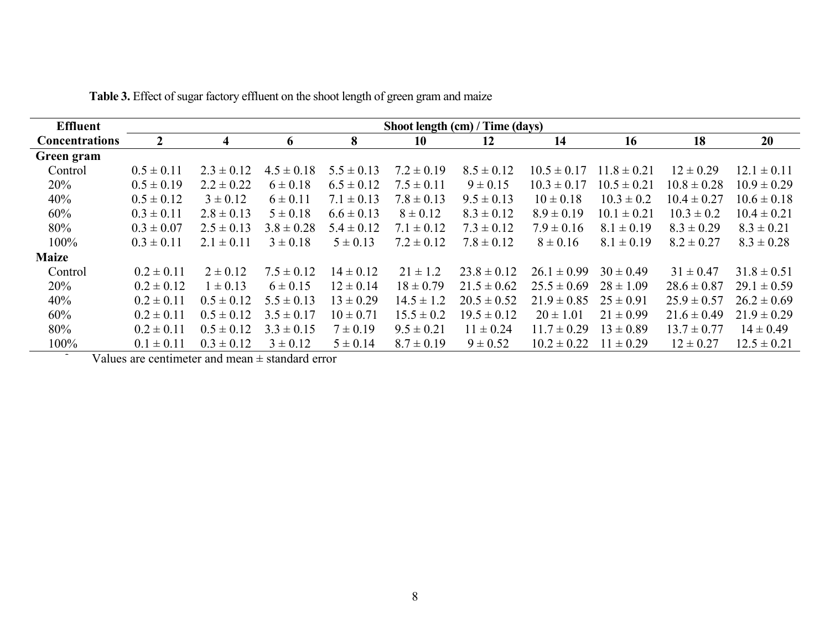| <b>Effluent</b>       |                |                |                |                |                | Shoot length (cm) / Time (days) |                    |                 |                 |                 |
|-----------------------|----------------|----------------|----------------|----------------|----------------|---------------------------------|--------------------|-----------------|-----------------|-----------------|
| <b>Concentrations</b> | 2              | 4              | 6              | 8              | 10             | 12                              | 14                 | 16              | 18              | 20              |
| Green gram            |                |                |                |                |                |                                 |                    |                 |                 |                 |
| Control               | $0.5 \pm 0.11$ | $2.3 \pm 0.12$ | $4.5 \pm 0.18$ | $5.5 \pm 0.13$ | $7.2 \pm 0.19$ | $8.5 \pm 0.12$                  | $10.5 \pm 0.17$    | $11.8 \pm 0.21$ | $12 \pm 0.29$   | $12.1 \pm 0.11$ |
| 20%                   | $0.5 \pm 0.19$ | $2.2 \pm 0.22$ | $6 \pm 0.18$   | $6.5 \pm 0.12$ | $7.5 \pm 0.11$ | $9 \pm 0.15$                    | $10.3 \pm 0.17$    | $10.5 \pm 0.21$ | $10.8 \pm 0.28$ | $10.9 \pm 0.29$ |
| 40%                   | $0.5 \pm 0.12$ | $3 \pm 0.12$   | $6 \pm 0.11$   | $7.1 \pm 0.13$ | $7.8 \pm 0.13$ | $9.5 \pm 0.13$                  | $10 \pm 0.18$      | $10.3 \pm 0.2$  | $10.4 \pm 0.27$ | $10.6 \pm 0.18$ |
| 60%                   | $0.3 \pm 0.11$ | $2.8 \pm 0.13$ | $5 \pm 0.18$   | $6.6 \pm 0.13$ | $8 \pm 0.12$   | $8.3 \pm 0.12$                  | $8.9 \pm 0.19$     | $10.1 \pm 0.21$ | $10.3 \pm 0.2$  | $10.4 \pm 0.21$ |
| 80%                   | $0.3 \pm 0.07$ | $2.5 \pm 0.13$ | $3.8 \pm 0.28$ | $5.4 \pm 0.12$ | $7.1 \pm 0.12$ | $7.3 \pm 0.12$                  | $7.9 \pm 0.16$     | $8.1 \pm 0.19$  | $8.3 \pm 0.29$  | $8.3 \pm 0.21$  |
| 100%                  | $0.3 \pm 0.11$ | $2.1 \pm 0.11$ | $3 \pm 0.18$   | $5 \pm 0.13$   | $7.2 \pm 0.12$ | $7.8 \pm 0.12$                  | $8 \pm 0.16$       | $8.1 \pm 0.19$  | $8.2 \pm 0.27$  | $8.3 \pm 0.28$  |
| <b>Maize</b>          |                |                |                |                |                |                                 |                    |                 |                 |                 |
| Control               | $0.2 \pm 0.11$ | $2 \pm 0.12$   | $7.5 \pm 0.12$ | $14 \pm 0.12$  | $21 \pm 1.2$   | $23.8 \pm 0.12$                 | $\pm 0.99$<br>26.1 | $30 \pm 0.49$   | $31 \pm 0.47$   | $31.8 \pm 0.51$ |
| 20%                   | $0.2 \pm 0.12$ | $1 \pm 0.13$   | $6 \pm 0.15$   | $12 \pm 0.14$  | $18 \pm 0.79$  | $21.5 \pm 0.62$                 | $25.5 \pm 0.69$    | $28 \pm 1.09$   | $28.6 \pm 0.87$ | $29.1 \pm 0.59$ |
| 40%                   | $0.2 \pm 0.11$ | $0.5 \pm 0.12$ | $5.5 \pm 0.13$ | $13 \pm 0.29$  | $14.5 \pm 1.2$ | $20.5 \pm 0.52$                 | $21.9 \pm 0.85$    | $25 \pm 0.91$   | $25.9 \pm 0.57$ | $26.2 \pm 0.69$ |
| 60%                   | $0.2 \pm 0.11$ | $0.5 \pm 0.12$ | $3.5 \pm 0.17$ | $10 \pm 0.71$  | $15.5 \pm 0.2$ | $19.5 \pm 0.12$                 | $20 \pm 1.01$      | $21 \pm 0.99$   | $21.6 \pm 0.49$ | $21.9 \pm 0.29$ |
| 80%                   | $0.2 \pm 0.11$ | $0.5 \pm 0.12$ | $3.3 \pm 0.15$ | $7 \pm 0.19$   | $9.5 \pm 0.21$ | $11 \pm 0.24$                   | $11.7 \pm 0.29$    | $13 \pm 0.89$   | $13.7 \pm 0.77$ | $14 \pm 0.49$   |
| 100%                  | $0.1 \pm 0.11$ | $0.3 \pm 0.12$ | $3 \pm 0.12$   | $5 \pm 0.14$   | $8.7 \pm 0.19$ | $9 \pm 0.52$                    | $10.2 \pm 0.22$    | $11 \pm 0.29$   | $12 \pm 0.27$   | $12.5 \pm 0.21$ |

1 **Table 3.** Effect of sugar factory effluent on the shoot length of green gram and maize

Values are centimeter and mean  $\pm$  standard error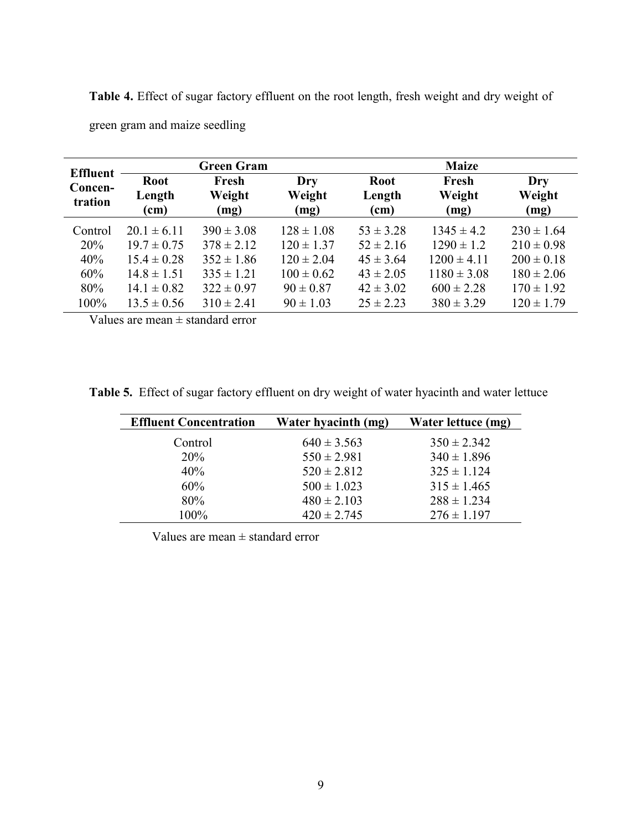1 **Table 4.** Effect of sugar factory effluent on the root length, fresh weight and dry weight of

| <b>Effluent</b>    |                               | <b>Green Gram</b>       |                       | <b>Maize</b>                  |                         |                       |
|--------------------|-------------------------------|-------------------------|-----------------------|-------------------------------|-------------------------|-----------------------|
| Concen-<br>tration | <b>Root</b><br>Length<br>(cm) | Fresh<br>Weight<br>(mg) | Dry<br>Weight<br>(mg) | <b>Root</b><br>Length<br>(cm) | Fresh<br>Weight<br>(mg) | Dry<br>Weight<br>(mg) |
| Control            | $20.1 \pm 6.11$               | $390 \pm 3.08$          | $128 \pm 1.08$        | $53 \pm 3.28$                 | $1345 \pm 4.2$          | $230 \pm 1.64$        |
| 20%                | $19.7 \pm 0.75$               | $378 \pm 2.12$          | $120 \pm 1.37$        | $52 \pm 2.16$                 | $1290 \pm 1.2$          | $210 \pm 0.98$        |
| 40%                | $15.4 \pm 0.28$               | $352 \pm 1.86$          | $120 \pm 2.04$        | $45 \pm 3.64$                 | $1200 \pm 4.11$         | $200 \pm 0.18$        |
| 60%                | $14.8 \pm 1.51$               | $335 \pm 1.21$          | $100 \pm 0.62$        | $43 \pm 2.05$                 | $1180 \pm 3.08$         | $180 \pm 2.06$        |
| 80%                | $14.1 \pm 0.82$               | $322 \pm 0.97$          | $90 \pm 0.87$         | $42 \pm 3.02$                 | $600 \pm 2.28$          | $170 \pm 1.92$        |
| 100%               | $13.5 \pm 0.56$               | $310 \pm 2.41$          | $90 \pm 1.03$         | $25 \pm 2.23$                 | $380 \pm 3.29$          | $120 \pm 1.79$        |

green gram and maize seedling

Values are mean  $\pm$  standard error

| <b>Effluent Concentration</b> | Water hyacinth (mg) | Water lettuce (mg) |
|-------------------------------|---------------------|--------------------|
| Control                       | $640 \pm 3.563$     | $350 \pm 2.342$    |
| <b>20%</b>                    | $550 \pm 2.981$     | $340 \pm 1.896$    |
| 40%                           | $520 \pm 2.812$     | $325 \pm 1.124$    |
| 60%                           | $500 \pm 1.023$     | $315 \pm 1.465$    |
| 80%                           | $480 \pm 2.103$     | $288 \pm 1.234$    |
| 100%                          | $420 \pm 2.745$     | $276 \pm 1.197$    |

Values are mean  $\pm$  standard error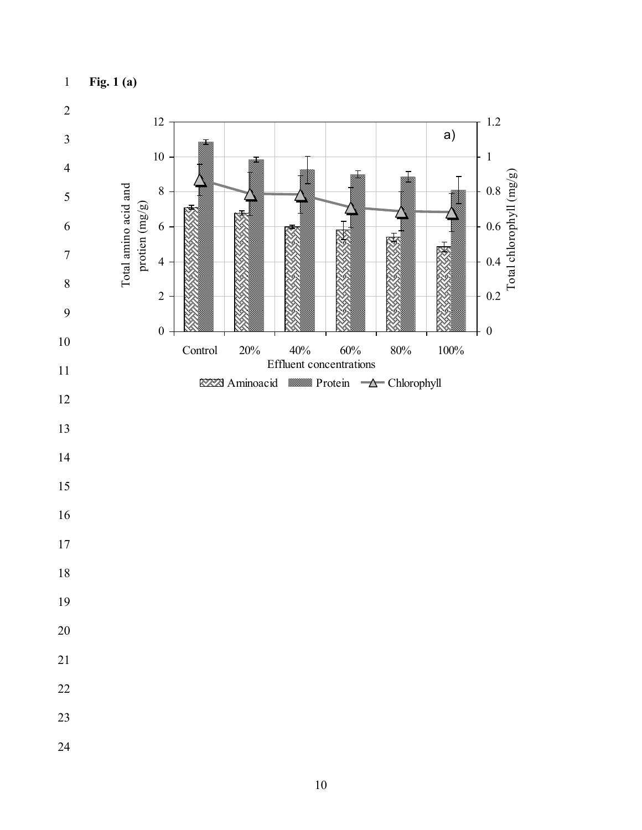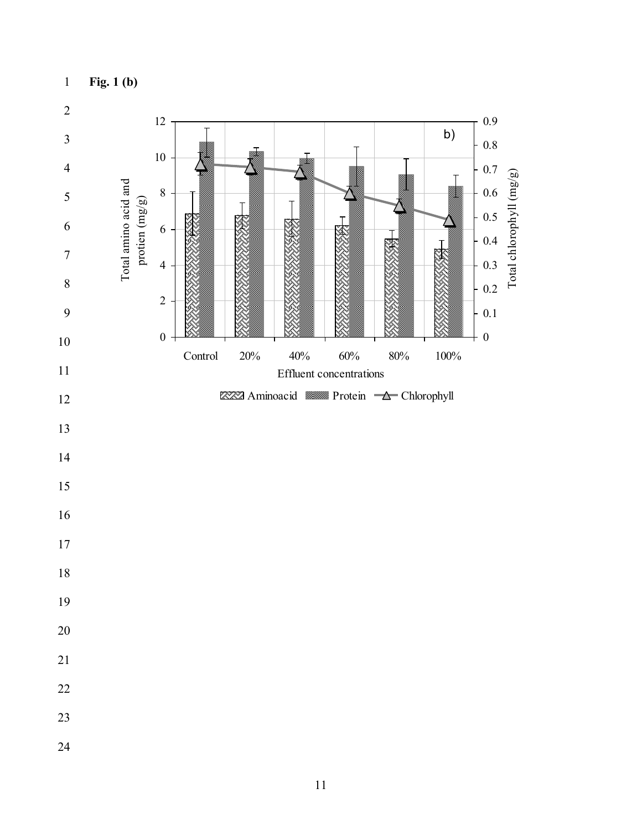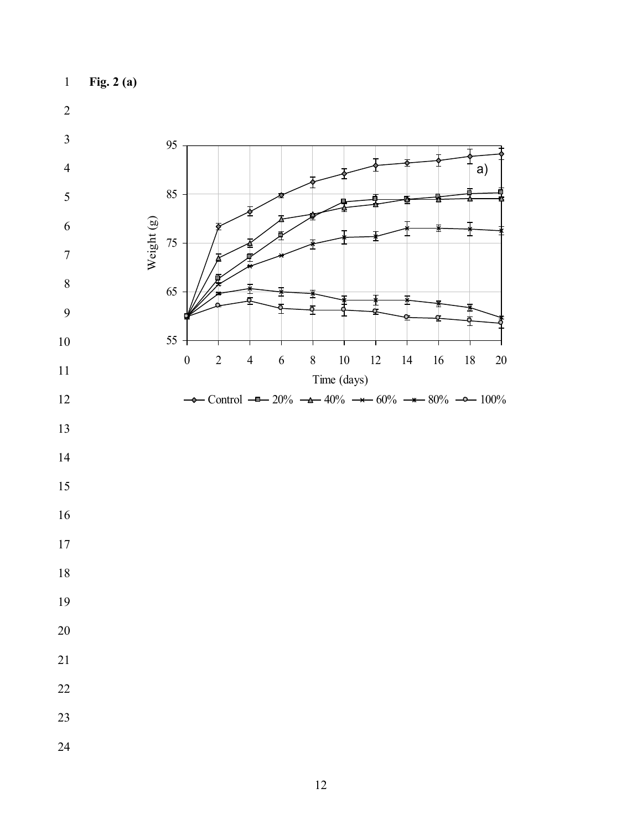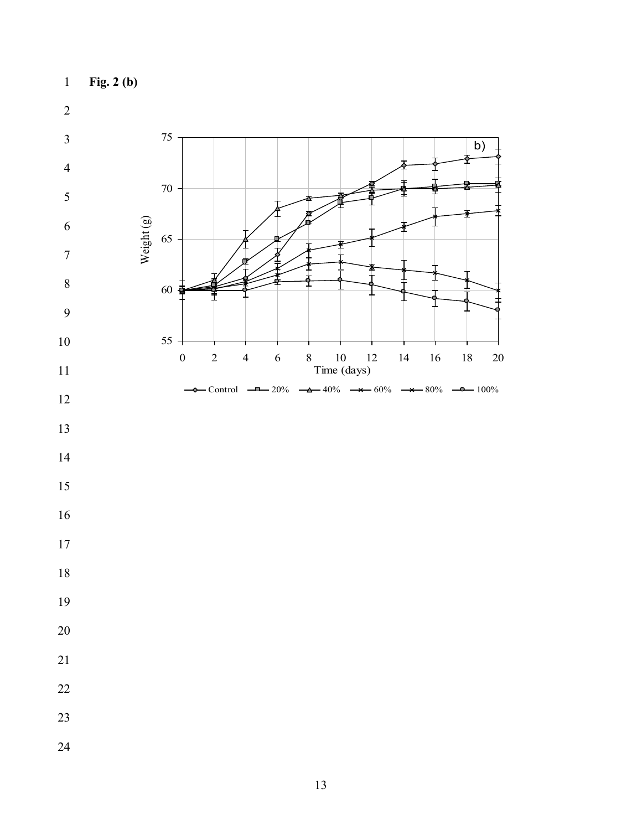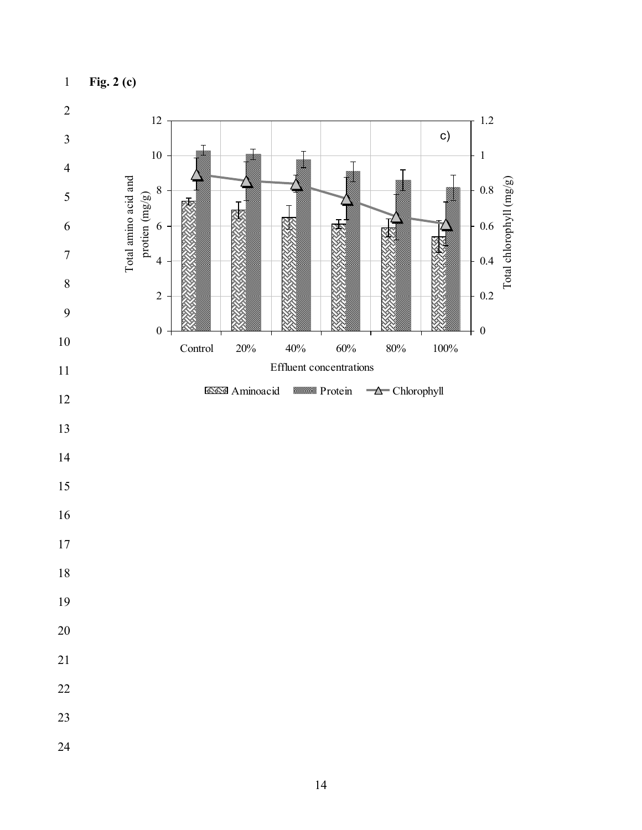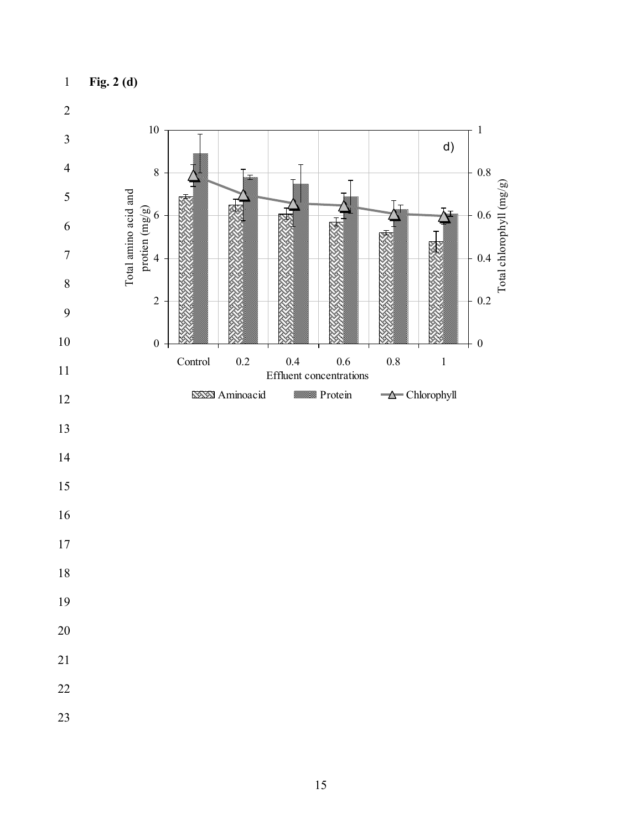